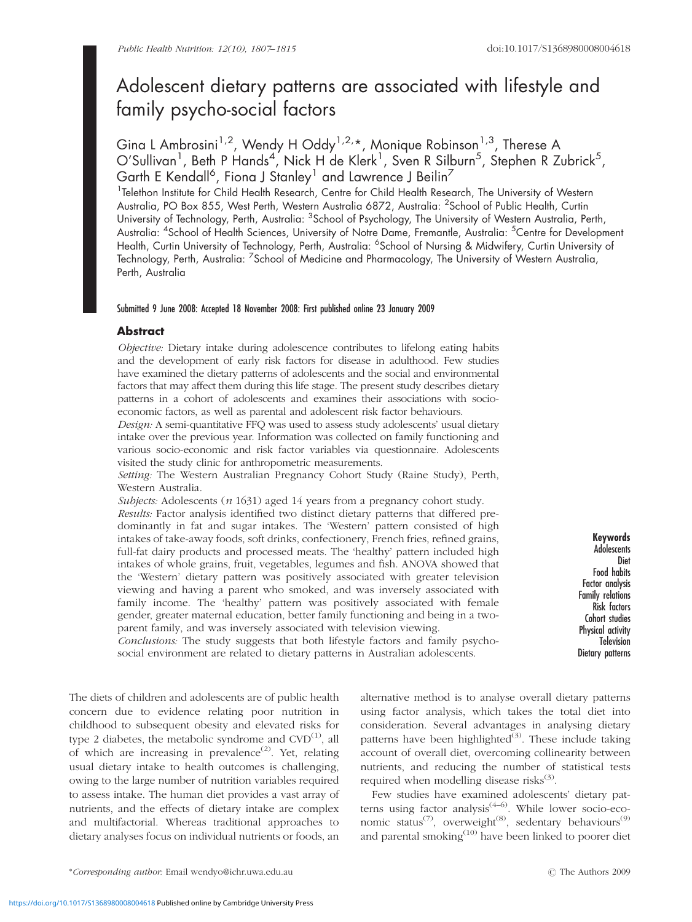# Adolescent dietary patterns are associated with lifestyle and family psycho-social factors

Gina L Ambrosini<sup>1,2</sup>, Wendy H Oddy<sup>1,2,\*</sup>, Monique Robinson<sup>1,3</sup>, Therese A O'Sullivan<sup>1</sup>, Beth P Hands<sup>4</sup>, Nick H de Klerk<sup>1</sup>, Sven R Silburn<sup>5</sup>, Stephen R Zubrick<sup>5</sup>, Garth E Kendall<sup>6</sup>, Fiona J Stanley $^{\rm l}$  and Lawrence J Beilin $^{\rm 7}$ 

<sup>1</sup>Telethon Institute for Child Health Research, Centre for Child Health Research, The University of Western Australia, PO Box 855, West Perth, Western Australia 6872, Australia: <sup>2</sup>School of Public Health, Curtin University of Technology, Perth, Australia: <sup>3</sup>School of Psychology, The University of Western Australia, Perth, Australia: <sup>4</sup>School of Health Sciences, University of Notre Dame, Fremantle, Australia: <sup>5</sup>Centre for Development Health, Curtin University of Technology, Perth, Australia: <sup>6</sup>School of Nursing & Midwifery, Curtin University ol Technology, Perth, Australia: <sup>7</sup>School of Medicine and Pharmacology, The University of Western Australia, Perth, Australia

# Submitted 9 June 2008: Accepted 18 November 2008: First published online 23 January 2009

# **Abstract**

Objective: Dietary intake during adolescence contributes to lifelong eating habits and the development of early risk factors for disease in adulthood. Few studies have examined the dietary patterns of adolescents and the social and environmental factors that may affect them during this life stage. The present study describes dietary patterns in a cohort of adolescents and examines their associations with socioeconomic factors, as well as parental and adolescent risk factor behaviours.

Design: A semi-quantitative FFQ was used to assess study adolescents' usual dietary intake over the previous year. Information was collected on family functioning and various socio-economic and risk factor variables via questionnaire. Adolescents visited the study clinic for anthropometric measurements.

Setting: The Western Australian Pregnancy Cohort Study (Raine Study), Perth, Western Australia.

Subjects: Adolescents (n 1631) aged 14 years from a pregnancy cohort study.

Results: Factor analysis identified two distinct dietary patterns that differed predominantly in fat and sugar intakes. The 'Western' pattern consisted of high intakes of take-away foods, soft drinks, confectionery, French fries, refined grains, full-fat dairy products and processed meats. The 'healthy' pattern included high intakes of whole grains, fruit, vegetables, legumes and fish. ANOVA showed that the 'Western' dietary pattern was positively associated with greater television viewing and having a parent who smoked, and was inversely associated with family income. The 'healthy' pattern was positively associated with female gender, greater maternal education, better family functioning and being in a twoparent family, and was inversely associated with television viewing.

Conclusions: The study suggests that both lifestyle factors and family psychosocial environment are related to dietary patterns in Australian adolescents.

Keywords **Adolescents** Diet Food habits Factor analysis Family relations Risk factors Cohort studies Physical activity **Television** Dietary patterns

The diets of children and adolescents are of public health concern due to evidence relating poor nutrition in childhood to subsequent obesity and elevated risks for type 2 diabetes, the metabolic syndrome and  $CVD^{(1)}$ , all of which are increasing in prevalence<sup>(2)</sup>. Yet, relating usual dietary intake to health outcomes is challenging, owing to the large number of nutrition variables required to assess intake. The human diet provides a vast array of nutrients, and the effects of dietary intake are complex and multifactorial. Whereas traditional approaches to dietary analyses focus on individual nutrients or foods, an

alternative method is to analyse overall dietary patterns using factor analysis, which takes the total diet into consideration. Several advantages in analysing dietary patterns have been highlighted $(3)$ . These include taking account of overall diet, overcoming collinearity between nutrients, and reducing the number of statistical tests required when modelling disease risks<sup>(3)</sup>.

Few studies have examined adolescents' dietary patterns using factor analysis<sup>(4–6)</sup>. While lower socio-economic status<sup>(7)</sup>, overweight<sup>(8)</sup>, sedentary behaviours<sup>(9)</sup> and parental smoking<sup>(10)</sup> have been linked to poorer diet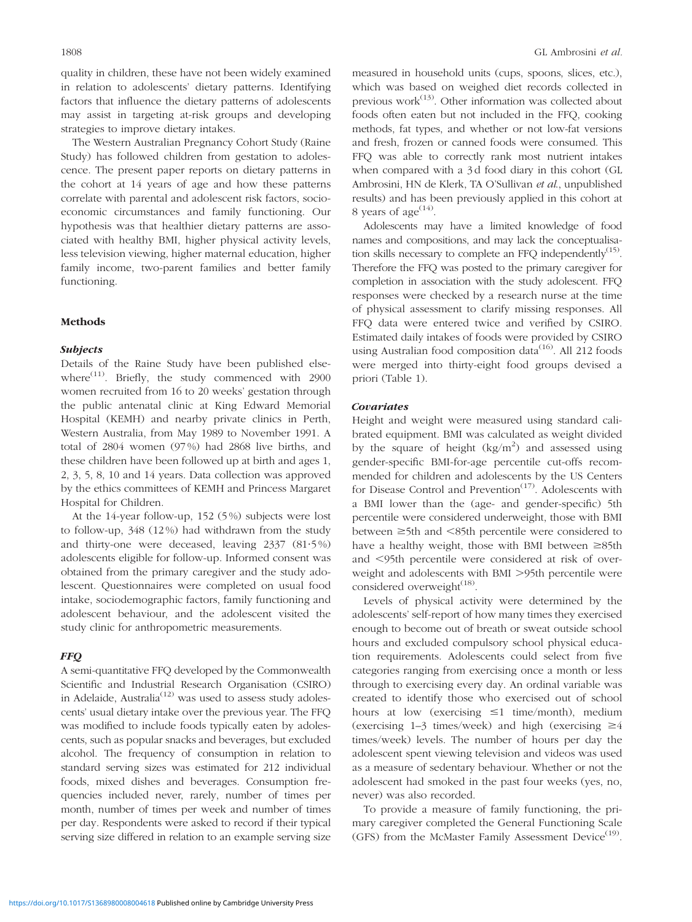quality in children, these have not been widely examined in relation to adolescents' dietary patterns. Identifying factors that influence the dietary patterns of adolescents may assist in targeting at-risk groups and developing strategies to improve dietary intakes.

The Western Australian Pregnancy Cohort Study (Raine Study) has followed children from gestation to adolescence. The present paper reports on dietary patterns in the cohort at 14 years of age and how these patterns correlate with parental and adolescent risk factors, socioeconomic circumstances and family functioning. Our hypothesis was that healthier dietary patterns are associated with healthy BMI, higher physical activity levels, less television viewing, higher maternal education, higher family income, two-parent families and better family functioning.

## Methods

## Subjects

Details of the Raine Study have been published elsewhere<sup> $(11)$ </sup>. Briefly, the study commenced with 2900 women recruited from 16 to 20 weeks' gestation through the public antenatal clinic at King Edward Memorial Hospital (KEMH) and nearby private clinics in Perth, Western Australia, from May 1989 to November 1991. A total of 2804 women (97 %) had 2868 live births, and these children have been followed up at birth and ages 1, 2, 3, 5, 8, 10 and 14 years. Data collection was approved by the ethics committees of KEMH and Princess Margaret Hospital for Children.

At the 14-year follow-up, 152 (5 %) subjects were lost to follow-up, 348 (12 %) had withdrawn from the study and thirty-one were deceased, leaving  $2337$   $(81.5\%)$ adolescents eligible for follow-up. Informed consent was obtained from the primary caregiver and the study adolescent. Questionnaires were completed on usual food intake, sociodemographic factors, family functioning and adolescent behaviour, and the adolescent visited the study clinic for anthropometric measurements.

## FFQ

A semi-quantitative FFQ developed by the Commonwealth Scientific and Industrial Research Organisation (CSIRO) in Adelaide, Australia<sup>(12)</sup> was used to assess study adolescents' usual dietary intake over the previous year. The FFQ was modified to include foods typically eaten by adolescents, such as popular snacks and beverages, but excluded alcohol. The frequency of consumption in relation to standard serving sizes was estimated for 212 individual foods, mixed dishes and beverages. Consumption frequencies included never, rarely, number of times per month, number of times per week and number of times per day. Respondents were asked to record if their typical serving size differed in relation to an example serving size measured in household units (cups, spoons, slices, etc.), which was based on weighed diet records collected in previous work $(13)$ . Other information was collected about foods often eaten but not included in the FFQ, cooking methods, fat types, and whether or not low-fat versions and fresh, frozen or canned foods were consumed. This FFQ was able to correctly rank most nutrient intakes when compared with a 3d food diary in this cohort (GL Ambrosini, HN de Klerk, TA O'Sullivan et al., unpublished results) and has been previously applied in this cohort at 8 years of age<sup> $(14)$ </sup>.

Adolescents may have a limited knowledge of food names and compositions, and may lack the conceptualisation skills necessary to complete an FFQ independently $<sup>(15)</sup>$ .</sup> Therefore the FFQ was posted to the primary caregiver for completion in association with the study adolescent. FFQ responses were checked by a research nurse at the time of physical assessment to clarify missing responses. All FFQ data were entered twice and verified by CSIRO. Estimated daily intakes of foods were provided by CSIRO using Australian food composition data<sup> $(16)$ </sup>. All 212 foods were merged into thirty-eight food groups devised a priori (Table 1).

# Covariates

Height and weight were measured using standard calibrated equipment. BMI was calculated as weight divided by the square of height  $(kg/m^2)$  and assessed using gender-specific BMI-for-age percentile cut-offs recommended for children and adolescents by the US Centers for Disease Control and Prevention<sup>(17)</sup>. Adolescents with a BMI lower than the (age- and gender-specific) 5th percentile were considered underweight, those with BMI between  $\geq$ 5th and  $\leq$ 85th percentile were considered to have a healthy weight, those with BMI between  $\geq$ 85th and <95th percentile were considered at risk of overweight and adolescents with BMI >95th percentile were considered overweight $^{(18)}$ .

Levels of physical activity were determined by the adolescents' self-report of how many times they exercised enough to become out of breath or sweat outside school hours and excluded compulsory school physical education requirements. Adolescents could select from five categories ranging from exercising once a month or less through to exercising every day. An ordinal variable was created to identify those who exercised out of school hours at low (exercising  $\leq 1$  time/month), medium (exercising 1–3 times/week) and high (exercising  $\geq 4$ times/week) levels. The number of hours per day the adolescent spent viewing television and videos was used as a measure of sedentary behaviour. Whether or not the adolescent had smoked in the past four weeks (yes, no, never) was also recorded.

To provide a measure of family functioning, the primary caregiver completed the General Functioning Scale (GFS) from the McMaster Family Assessment Device<sup>(19)</sup>.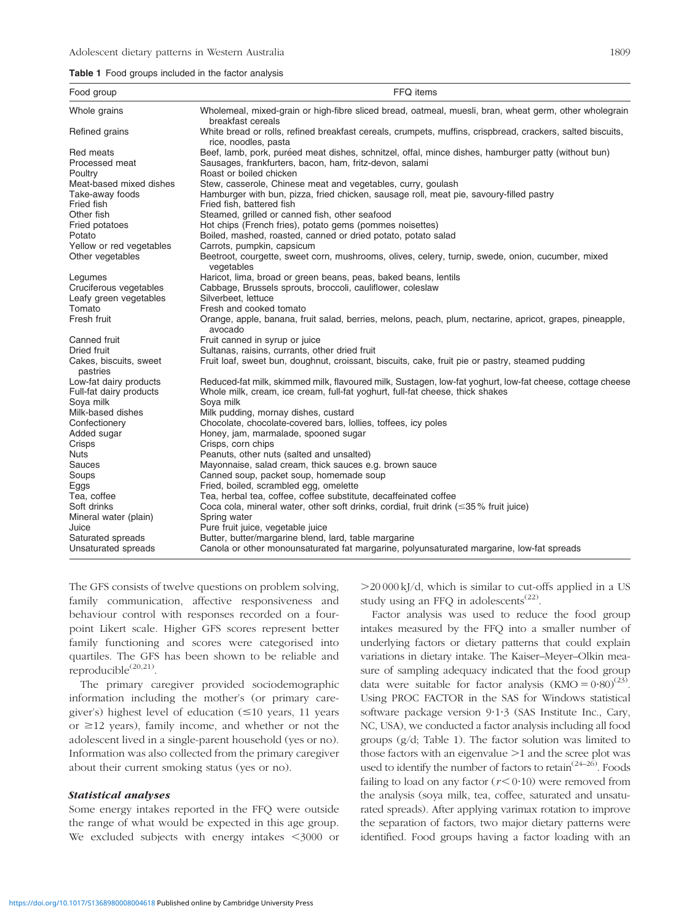#### Table 1 Food groups included in the factor analysis

| Food group                               | FFQ items                                                                                                                          |
|------------------------------------------|------------------------------------------------------------------------------------------------------------------------------------|
| Whole grains                             | Wholemeal, mixed-grain or high-fibre sliced bread, oatmeal, muesli, bran, wheat germ, other wholegrain<br>breakfast cereals        |
| Refined grains                           | White bread or rolls, refined breakfast cereals, crumpets, muffins, crispbread, crackers, salted biscuits,<br>rice, noodles, pasta |
| Red meats                                | Beef, lamb, pork, puréed meat dishes, schnitzel, offal, mince dishes, hamburger patty (without bun)                                |
| Processed meat                           | Sausages, frankfurters, bacon, ham, fritz-devon, salami                                                                            |
| Poultry                                  | Roast or boiled chicken                                                                                                            |
| Meat-based mixed dishes                  | Stew, casserole, Chinese meat and vegetables, curry, goulash                                                                       |
| Take-away foods                          | Hamburger with bun, pizza, fried chicken, sausage roll, meat pie, savoury-filled pastry                                            |
| Fried fish                               | Fried fish, battered fish                                                                                                          |
| Other fish                               | Steamed, grilled or canned fish, other seafood                                                                                     |
| Fried potatoes                           | Hot chips (French fries), potato gems (pommes noisettes)                                                                           |
| Potato                                   | Boiled, mashed, roasted, canned or dried potato, potato salad                                                                      |
| Yellow or red vegetables                 | Carrots, pumpkin, capsicum                                                                                                         |
| Other vegetables                         | Beetroot, courgette, sweet corn, mushrooms, olives, celery, turnip, swede, onion, cucumber, mixed<br>vegetables                    |
| Legumes                                  | Haricot, lima, broad or green beans, peas, baked beans, lentils                                                                    |
| Cruciferous vegetables                   | Cabbage, Brussels sprouts, broccoli, cauliflower, coleslaw                                                                         |
| Leafy green vegetables                   | Silverbeet. lettuce                                                                                                                |
| Tomato                                   | Fresh and cooked tomato                                                                                                            |
| Fresh fruit                              | Orange, apple, banana, fruit salad, berries, melons, peach, plum, nectarine, apricot, grapes, pineapple,<br>avocado                |
| Canned fruit                             | Fruit canned in syrup or juice                                                                                                     |
| Dried fruit                              | Sultanas, raisins, currants, other dried fruit                                                                                     |
| Cakes, biscuits, sweet<br>pastries       | Fruit loaf, sweet bun, doughnut, croissant, biscuits, cake, fruit pie or pastry, steamed pudding                                   |
| Low-fat dairy products                   | Reduced-fat milk, skimmed milk, flavoured milk, Sustagen, Iow-fat yoghurt, Iow-fat cheese, cottage cheese                          |
| Full-fat dairy products                  | Whole milk, cream, ice cream, full-fat yoghurt, full-fat cheese, thick shakes                                                      |
| Sova milk                                | Sova milk                                                                                                                          |
| Milk-based dishes                        | Milk pudding, mornay dishes, custard                                                                                               |
| Confectionery                            | Chocolate, chocolate-covered bars, lollies, toffees, icy poles                                                                     |
| Added sugar                              | Honey, jam, marmalade, spooned sugar                                                                                               |
| Crisps                                   | Crisps, corn chips                                                                                                                 |
| <b>Nuts</b>                              | Peanuts, other nuts (salted and unsalted)                                                                                          |
| Sauces                                   | Mayonnaise, salad cream, thick sauces e.g. brown sauce                                                                             |
| Soups                                    | Canned soup, packet soup, homemade soup                                                                                            |
| Eggs                                     | Fried, boiled, scrambled egg, omelette                                                                                             |
| Tea, coffee                              | Tea, herbal tea, coffee, coffee substitute, decaffeinated coffee                                                                   |
| Soft drinks                              | Coca cola, mineral water, other soft drinks, cordial, fruit drink ( $\leq$ 35% fruit juice)                                        |
| Mineral water (plain)<br>Juice           | Spring water                                                                                                                       |
|                                          | Pure fruit juice, vegetable juice<br>Butter, butter/margarine blend, lard, table margarine                                         |
| Saturated spreads<br>Unsaturated spreads | Canola or other monounsaturated fat margarine, polyunsaturated margarine, low-fat spreads                                          |
|                                          |                                                                                                                                    |

The GFS consists of twelve questions on problem solving, family communication, affective responsiveness and behaviour control with responses recorded on a fourpoint Likert scale. Higher GFS scores represent better family functioning and scores were categorised into quartiles. The GFS has been shown to be reliable and reproducible $^{(20,21)}$ .

The primary caregiver provided sociodemographic information including the mother's (or primary caregiver's) highest level of education  $(\leq 10$  years, 11 years or  $\geq$ 12 years), family income, and whether or not the adolescent lived in a single-parent household (yes or no). Information was also collected from the primary caregiver about their current smoking status (yes or no).

# Statistical analyses

Some energy intakes reported in the FFQ were outside the range of what would be expected in this age group. We excluded subjects with energy intakes  $\leq$ 3000 or  $>$ 20 000 kJ/d, which is similar to cut-offs applied in a US study using an FFQ in adolescents<sup> $(22)$ </sup>.

Factor analysis was used to reduce the food group intakes measured by the FFQ into a smaller number of underlying factors or dietary patterns that could explain variations in dietary intake. The Kaiser–Meyer–Olkin measure of sampling adequacy indicated that the food group data were suitable for factor analysis  $(KMO = 0.80)^{(23)}$ . Using PROC FACTOR in the SAS for Windows statistical software package version 9.1.3 (SAS Institute Inc., Cary, NC, USA), we conducted a factor analysis including all food groups (g/d; Table 1). The factor solution was limited to those factors with an eigenvalue  $>1$  and the scree plot was used to identify the number of factors to retain<sup> $(24-26)$ </sup>. Foods failing to load on any factor  $(r < 0.10)$  were removed from the analysis (soya milk, tea, coffee, saturated and unsaturated spreads). After applying varimax rotation to improve the separation of factors, two major dietary patterns were identified. Food groups having a factor loading with an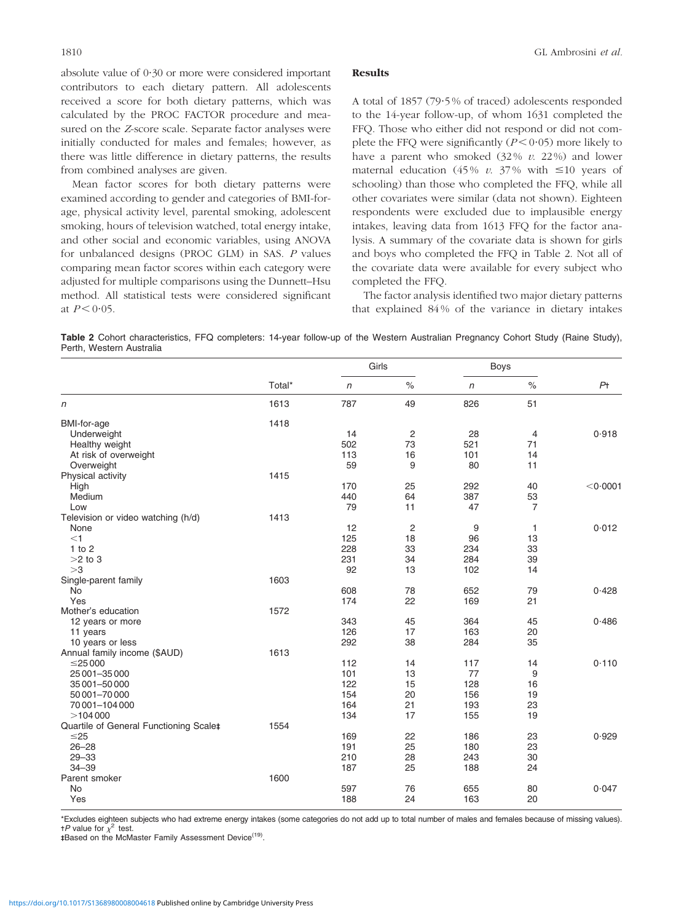absolute value of 0?30 or more were considered important contributors to each dietary pattern. All adolescents received a score for both dietary patterns, which was calculated by the PROC FACTOR procedure and measured on the Z-score scale. Separate factor analyses were initially conducted for males and females; however, as there was little difference in dietary patterns, the results from combined analyses are given.

Mean factor scores for both dietary patterns were examined according to gender and categories of BMI-forage, physical activity level, parental smoking, adolescent smoking, hours of television watched, total energy intake, and other social and economic variables, using ANOVA for unbalanced designs (PROC GLM) in SAS. P values comparing mean factor scores within each category were adjusted for multiple comparisons using the Dunnett–Hsu method. All statistical tests were considered significant at  $P < 0.05$ .

## Results

A total of 1857 (79?5 % of traced) adolescents responded to the 14-year follow-up, of whom 1631 completed the FFQ. Those who either did not respond or did not complete the FFQ were significantly  $(P < 0.05)$  more likely to have a parent who smoked  $(32\% v. 22\%)$  and lower maternal education (45% v. 37% with  $\leq 10$  years of schooling) than those who completed the FFQ, while all other covariates were similar (data not shown). Eighteen respondents were excluded due to implausible energy intakes, leaving data from 1613 FFQ for the factor analysis. A summary of the covariate data is shown for girls and boys who completed the FFQ in Table 2. Not all of the covariate data were available for every subject who completed the FFQ.

The factor analysis identified two major dietary patterns that explained 84 % of the variance in dietary intakes

Table 2 Cohort characteristics, FFQ completers: 14-year follow-up of the Western Australian Pregnancy Cohort Study (Raine Study), Perth, Western Australia

|                                        |        | Girls      |                | <b>Boys</b> |                      |                |
|----------------------------------------|--------|------------|----------------|-------------|----------------------|----------------|
|                                        | Total* | $\sqrt{n}$ | $\%$           | $\sqrt{n}$  | $\frac{1}{\sqrt{2}}$ | P <sub>†</sub> |
| n                                      | 1613   | 787        | 49             | 826         | 51                   |                |
| <b>BMI-for-age</b>                     | 1418   |            |                |             |                      |                |
| Underweight                            |        | 14         | $\overline{c}$ | 28          | 4                    | 0.918          |
| Healthy weight                         |        | 502        | 73             | 521         | 71                   |                |
| At risk of overweight                  |        | 113        | 16             | 101         | 14                   |                |
| Overweight                             |        | 59         | 9              | 80          | 11                   |                |
| Physical activity                      | 1415   |            |                |             |                      |                |
| High                                   |        | 170        | 25             | 292         | 40                   | < 0.0001       |
| Medium                                 |        | 440        | 64             | 387         | 53                   |                |
| Low                                    |        | 79         | 11             | 47          | $\overline{7}$       |                |
| Television or video watching (h/d)     | 1413   |            |                |             |                      |                |
| None                                   |        | 12         | $\overline{c}$ | 9           | $\mathbf{1}$         | 0.012          |
| $<$ 1                                  |        | 125        | 18             | 96          | 13                   |                |
| $1$ to $2$                             |        | 228        | 33             | 234         | 33                   |                |
| $>2$ to 3                              |        | 231        | 34             | 284         | 39                   |                |
| >3                                     |        | 92         | 13             | 102         | 14                   |                |
| Single-parent family                   | 1603   |            |                |             |                      |                |
| <b>No</b>                              |        | 608        | 78             | 652         | 79                   | 0.428          |
| Yes                                    |        | 174        | 22             | 169         | 21                   |                |
| Mother's education                     | 1572   |            |                |             |                      |                |
| 12 years or more                       |        | 343        | 45             | 364         | 45                   | 0.486          |
| 11 years                               |        | 126        | 17             | 163         | 20                   |                |
| 10 years or less                       |        | 292        | 38             | 284         | 35                   |                |
| Annual family income (\$AUD)           | 1613   |            |                |             |                      |                |
| $\leq$ 25 000                          |        | 112        | 14             | 117         | 14                   | 0.110          |
| 25 001 - 35 000                        |        | 101        | 13             | 77          | 9                    |                |
| 35 001-50 000                          |        | 122        | 15             | 128         | 16                   |                |
| 50 001-70 000                          |        | 154        | 20             | 156         | 19                   |                |
| 70 001-104 000                         |        | 164        | 21             | 193         | 23                   |                |
| >104000                                |        | 134        | 17             | 155         | 19                   |                |
| Quartile of General Functioning Scalet | 1554   |            |                |             |                      |                |
| $\leq$ 25                              |        | 169        | 22             | 186         | 23                   | 0.929          |
| $26 - 28$                              |        | 191        | 25             | 180         | 23                   |                |
| $29 - 33$                              |        | 210        | 28             | 243         | 30                   |                |
| $34 - 39$                              |        | 187        | 25             | 188         | 24                   |                |
| Parent smoker                          | 1600   |            |                |             |                      |                |
| <b>No</b>                              |        | 597        | 76             | 655         | 80                   | 0.047          |
| Yes                                    |        | 188        | 24             | 163         | 20                   |                |
|                                        |        |            |                |             |                      |                |

\*Excludes eighteen subjects who had extreme energy intakes (some categories do not add up to total number of males and females because of missing values).  $+P$  value for  $\chi^2$  test.

‡Based on the McMaster Family Assessment Device<sup>(19)</sup>.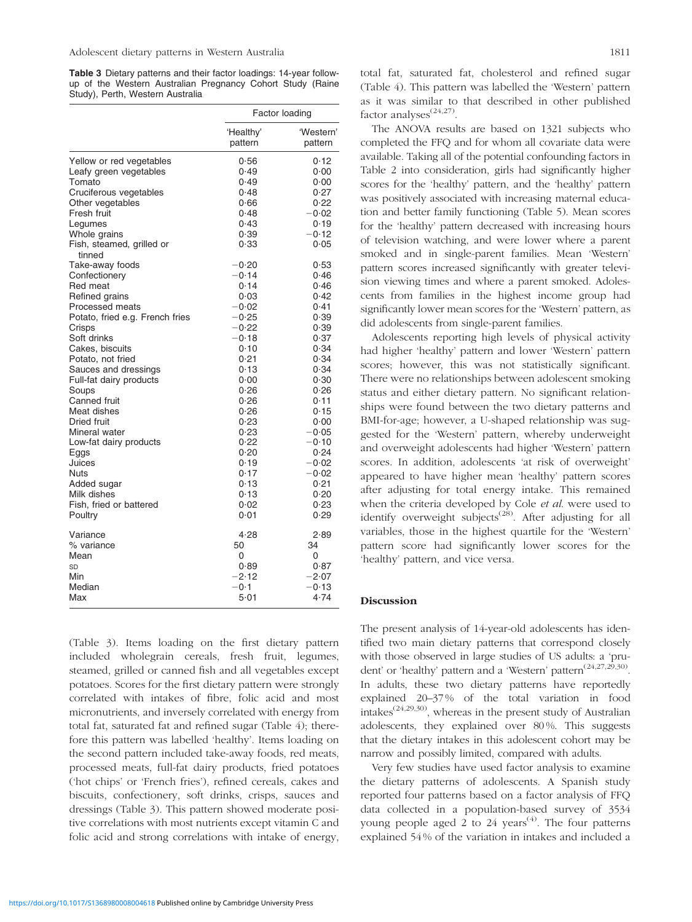Table 3 Dietary patterns and their factor loadings: 14-year followup of the Western Australian Pregnancy Cohort Study (Raine Study), Perth, Western Australia

|                                     | Factor loading       |                      |  |
|-------------------------------------|----------------------|----------------------|--|
|                                     | 'Healthy'<br>pattern | 'Western'<br>pattern |  |
| Yellow or red vegetables            | 0.56                 | 0.12                 |  |
| Leafy green vegetables              | 0.49                 | 0.00                 |  |
| Tomato                              | 0.49                 | 0.00                 |  |
| Cruciferous vegetables              | 0.48                 | 0.27                 |  |
| Other vegetables                    | 0.66                 | 0.22                 |  |
| Fresh fruit                         | 0.48                 | $-0.02$              |  |
| Legumes                             | 0.43                 | 0.19                 |  |
| Whole grains                        | 0.39                 | $-0.12$              |  |
| Fish, steamed, grilled or<br>tinned | 0.33                 | 0.05                 |  |
| Take-away foods                     | $-0.20$              | 0.53                 |  |
| Confectionery                       | $-0.14$              | 0.46                 |  |
| Red meat                            | 0.14                 | 0.46                 |  |
| Refined grains                      | 0.03                 | 0.42                 |  |
| Processed meats                     | $-0.02$              | 0.41                 |  |
| Potato, fried e.g. French fries     | $-0.25$              | 0.39                 |  |
| Crisps                              | $-0.22$              | 0.39                 |  |
| Soft drinks                         | $-0.18$              | 0.37                 |  |
| Cakes, biscuits                     | 0.10                 | 0.34                 |  |
| Potato, not fried                   | 0.21                 | 0.34                 |  |
| Sauces and dressings                | 0.13                 | 0.34                 |  |
| Full-fat dairy products             | 0.00                 | 0.30                 |  |
| Soups                               | 0.26                 | 0.26                 |  |
| Canned fruit                        | 0.26                 | 0.11                 |  |
| Meat dishes                         | 0.26                 | 0.15                 |  |
| Dried fruit                         | 0.23                 | 0.00                 |  |
| Mineral water                       | 0.23                 | $-0.05$              |  |
| Low-fat dairy products              | 0.22                 | $-0.10$              |  |
| Eggs                                | 0.20                 | 0.24                 |  |
| Juices                              | 0.19                 | $-0.02$              |  |
| Nuts                                | 0.17                 | $-0.02$              |  |
| Added sugar                         | 0.13                 | 0.21                 |  |
| Milk dishes                         | 0.13                 | 0.20                 |  |
| Fish, fried or battered             | 0.02                 | 0.23                 |  |
| Poultry                             | 0.01                 | 0.29                 |  |
| Variance                            | 4.28                 | 2.89                 |  |
| % variance                          | 50                   | 34                   |  |
| Mean                                | 0                    | 0                    |  |
| SD                                  | 0.89                 | 0.87                 |  |
| Min                                 | $-2.12$              | $-2.07$              |  |
| Median                              | $-0.1$               | $-0.13$              |  |
| Max                                 | 5.01                 | 4.74                 |  |

(Table 3). Items loading on the first dietary pattern included wholegrain cereals, fresh fruit, legumes, steamed, grilled or canned fish and all vegetables except potatoes. Scores for the first dietary pattern were strongly correlated with intakes of fibre, folic acid and most micronutrients, and inversely correlated with energy from total fat, saturated fat and refined sugar (Table 4); therefore this pattern was labelled 'healthy'. Items loading on the second pattern included take-away foods, red meats, processed meats, full-fat dairy products, fried potatoes ('hot chips' or 'French fries'), refined cereals, cakes and biscuits, confectionery, soft drinks, crisps, sauces and dressings (Table 3). This pattern showed moderate positive correlations with most nutrients except vitamin C and folic acid and strong correlations with intake of energy, total fat, saturated fat, cholesterol and refined sugar (Table 4). This pattern was labelled the 'Western' pattern as it was similar to that described in other published factor analyses<sup>(24,27)</sup>.

The ANOVA results are based on 1321 subjects who completed the FFQ and for whom all covariate data were available. Taking all of the potential confounding factors in Table 2 into consideration, girls had significantly higher scores for the 'healthy' pattern, and the 'healthy' pattern was positively associated with increasing maternal education and better family functioning (Table 5). Mean scores for the 'healthy' pattern decreased with increasing hours of television watching, and were lower where a parent smoked and in single-parent families. Mean 'Western' pattern scores increased significantly with greater television viewing times and where a parent smoked. Adolescents from families in the highest income group had significantly lower mean scores for the 'Western' pattern, as did adolescents from single-parent families.

Adolescents reporting high levels of physical activity had higher 'healthy' pattern and lower 'Western' pattern scores; however, this was not statistically significant. There were no relationships between adolescent smoking status and either dietary pattern. No significant relationships were found between the two dietary patterns and BMI-for-age; however, a U-shaped relationship was suggested for the 'Western' pattern, whereby underweight and overweight adolescents had higher 'Western' pattern scores. In addition, adolescents 'at risk of overweight' appeared to have higher mean 'healthy' pattern scores after adjusting for total energy intake. This remained when the criteria developed by Cole et al. were used to identify overweight subjects<sup> $(28)$ </sup>. After adjusting for all variables, those in the highest quartile for the 'Western' pattern score had significantly lower scores for the 'healthy' pattern, and vice versa.

# Discussion

The present analysis of 14-year-old adolescents has identified two main dietary patterns that correspond closely with those observed in large studies of US adults: a 'prudent' or 'healthy' pattern and a 'Western' pattern<sup> $(24,27,29,30)$ </sup>. In adults, these two dietary patterns have reportedly explained 20–37% of the total variation in food intakes(24,29,30), whereas in the present study of Australian adolescents, they explained over 80%. This suggests that the dietary intakes in this adolescent cohort may be narrow and possibly limited, compared with adults.

Very few studies have used factor analysis to examine the dietary patterns of adolescents. A Spanish study reported four patterns based on a factor analysis of FFQ data collected in a population-based survey of 3534 young people aged 2 to 24 years<sup> $(4)$ </sup>. The four patterns explained 54 % of the variation in intakes and included a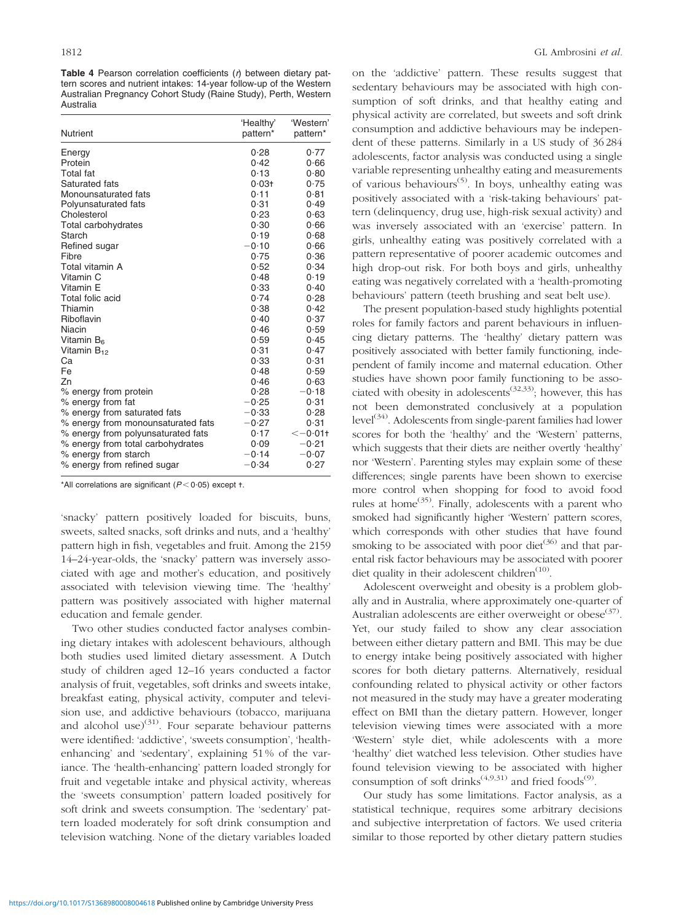Table 4 Pearson correlation coefficients  $(*r*)$  between dietary pattern scores and nutrient intakes: 14-year follow-up of the Western Australian Pregnancy Cohort Study (Raine Study), Perth, Western Australia

| <b>Nutrient</b>                    | 'Healthy'<br>pattern* | 'Western'<br>pattern* |
|------------------------------------|-----------------------|-----------------------|
| Energy                             | 0.28                  | 0.77                  |
| Protein                            | 0.42                  | 0.66                  |
| <b>Total</b> fat                   | 0.13                  | 0.80                  |
| Saturated fats                     | $0.03 +$              | 0.75                  |
| Monounsaturated fats               | 0.11                  | 0.81                  |
| Polyunsaturated fats               | 0.31                  | 0.49                  |
| Cholesterol                        | 0.23                  | 0.63                  |
| Total carbohydrates                | 0.30                  | 0.66                  |
| Starch                             | 0.19                  | 0.68                  |
| Refined sugar                      | $-0.10$               | 0.66                  |
| Fibre                              | 0.75                  | 0.36                  |
| Total vitamin A                    | 0.52                  | 0.34                  |
| Vitamin C                          | 0.48                  | 0.19                  |
| Vitamin F                          | 0.33                  | 0.40                  |
| Total folic acid                   | 0.74                  | 0.28                  |
| Thiamin                            | 0.38                  | 0.42                  |
| Riboflavin                         | 0.40                  | 0.37                  |
| Niacin                             | 0.46                  | 0.59                  |
| Vitamin B <sub>6</sub>             | 0.59                  | 0.45                  |
| Vitamin $B_{12}$                   | 0.31                  | 0.47                  |
| Cа                                 | 0.33                  | 0.31                  |
| Fe                                 | 0.48                  | 0.59                  |
| Zn                                 | 0.46                  | 0.63                  |
| % energy from protein              | 0.28                  | $-0.18$               |
| % energy from fat                  | $-0.25$               | 0.31                  |
| % energy from saturated fats       | $-0.33$               | 0.28                  |
| % energy from monounsaturated fats | $-0.27$               | 0.31                  |
| % energy from polyunsaturated fats | 0.17                  | $<-0.01$ t            |
| % energy from total carbohydrates  | 0.09                  | $-0.21$               |
| % energy from starch               | $-0.14$               | $-0.07$               |
| % energy from refined sugar        | $-0.34$               | 0.27                  |

\*All correlations are significant ( $P < 0.05$ ) except t.

'snacky' pattern positively loaded for biscuits, buns, sweets, salted snacks, soft drinks and nuts, and a 'healthy' pattern high in fish, vegetables and fruit. Among the 2159 14–24-year-olds, the 'snacky' pattern was inversely associated with age and mother's education, and positively associated with television viewing time. The 'healthy' pattern was positively associated with higher maternal education and female gender.

Two other studies conducted factor analyses combining dietary intakes with adolescent behaviours, although both studies used limited dietary assessment. A Dutch study of children aged 12–16 years conducted a factor analysis of fruit, vegetables, soft drinks and sweets intake, breakfast eating, physical activity, computer and television use, and addictive behaviours (tobacco, marijuana and alcohol use) $(31)$ . Four separate behaviour patterns were identified: 'addictive', 'sweets consumption', 'healthenhancing' and 'sedentary', explaining 51 % of the variance. The 'health-enhancing' pattern loaded strongly for fruit and vegetable intake and physical activity, whereas the 'sweets consumption' pattern loaded positively for soft drink and sweets consumption. The 'sedentary' pattern loaded moderately for soft drink consumption and television watching. None of the dietary variables loaded

on the 'addictive' pattern. These results suggest that sedentary behaviours may be associated with high consumption of soft drinks, and that healthy eating and physical activity are correlated, but sweets and soft drink consumption and addictive behaviours may be independent of these patterns. Similarly in a US study of 36 284 adolescents, factor analysis was conducted using a single variable representing unhealthy eating and measurements of various behaviours(5). In boys, unhealthy eating was positively associated with a 'risk-taking behaviours' pattern (delinquency, drug use, high-risk sexual activity) and was inversely associated with an 'exercise' pattern. In girls, unhealthy eating was positively correlated with a pattern representative of poorer academic outcomes and high drop-out risk. For both boys and girls, unhealthy eating was negatively correlated with a 'health-promoting behaviours' pattern (teeth brushing and seat belt use).

The present population-based study highlights potential roles for family factors and parent behaviours in influencing dietary patterns. The 'healthy' dietary pattern was positively associated with better family functioning, independent of family income and maternal education. Other studies have shown poor family functioning to be associated with obesity in adolescents<sup> $(32,33)$ </sup>; however, this has not been demonstrated conclusively at a population level<sup>(34)</sup>. Adolescents from single-parent families had lower scores for both the 'healthy' and the 'Western' patterns, which suggests that their diets are neither overtly 'healthy' nor 'Western'. Parenting styles may explain some of these differences; single parents have been shown to exercise more control when shopping for food to avoid food rules at home<sup>(35)</sup>. Finally, adolescents with a parent who smoked had significantly higher 'Western' pattern scores, which corresponds with other studies that have found smoking to be associated with poor diet<sup>(36)</sup> and that parental risk factor behaviours may be associated with poorer diet quality in their adolescent children $(10)$ .

Adolescent overweight and obesity is a problem globally and in Australia, where approximately one-quarter of Australian adolescents are either overweight or obese<sup>(37)</sup>. Yet, our study failed to show any clear association between either dietary pattern and BMI. This may be due to energy intake being positively associated with higher scores for both dietary patterns. Alternatively, residual confounding related to physical activity or other factors not measured in the study may have a greater moderating effect on BMI than the dietary pattern. However, longer television viewing times were associated with a more 'Western' style diet, while adolescents with a more 'healthy' diet watched less television. Other studies have found television viewing to be associated with higher consumption of soft drinks<sup> $(4,9,31)$ </sup> and fried foods<sup>(9)</sup>.

Our study has some limitations. Factor analysis, as a statistical technique, requires some arbitrary decisions and subjective interpretation of factors. We used criteria similar to those reported by other dietary pattern studies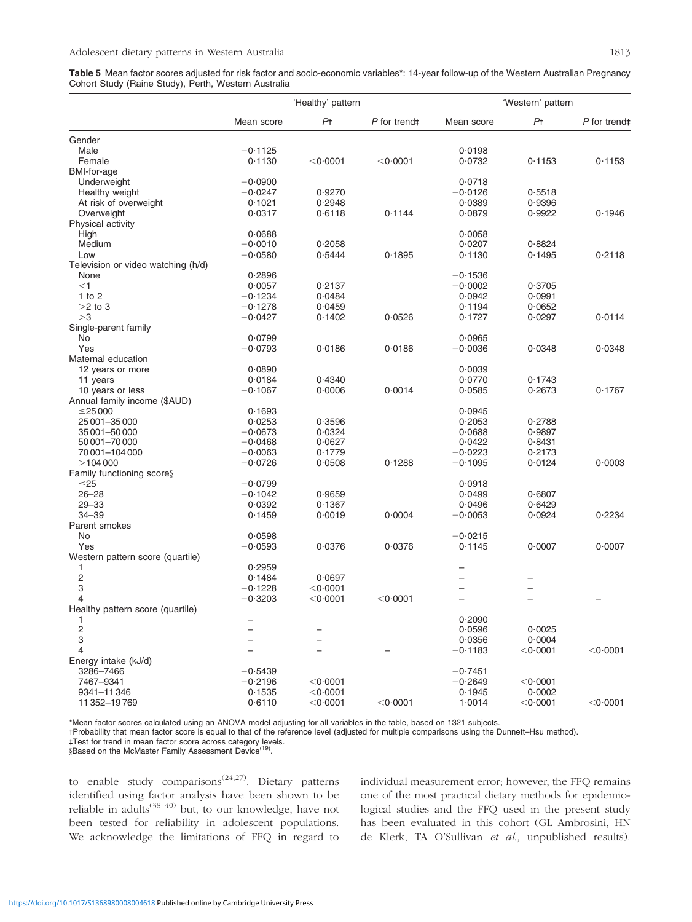Table 5 Mean factor scores adjusted for risk factor and socio-economic variables\*: 14-year follow-up of the Western Australian Pregnancy Cohort Study (Raine Study), Perth, Western Australia

|                                    | 'Healthy' pattern |                    |                          | 'Western' pattern |                    |                          |  |
|------------------------------------|-------------------|--------------------|--------------------------|-------------------|--------------------|--------------------------|--|
|                                    | Mean score        | Pt                 | $P$ for trend $\ddagger$ | Mean score        | P <sub>†</sub>     | $P$ for trend $\ddagger$ |  |
| Gender                             |                   |                    |                          |                   |                    |                          |  |
| Male                               | $-0.1125$         |                    |                          | 0.0198            |                    |                          |  |
| Female                             | 0.1130            | $<$ 0 $\cdot$ 0001 | < 0.0001                 | 0.0732            | 0.1153             | 0.1153                   |  |
| BMI-for-age                        |                   |                    |                          |                   |                    |                          |  |
| Underweight                        | $-0.0900$         |                    |                          | 0.0718            |                    |                          |  |
| Healthy weight                     | $-0.0247$         | 0.9270             |                          | $-0.0126$         | 0.5518             |                          |  |
| At risk of overweight              | 0.1021            | 0.2948             |                          | 0.0389            | 0.9396             |                          |  |
| Overweight                         | 0.0317            | 0.6118             | 0.1144                   | 0.0879            | 0.9922             | 0.1946                   |  |
| Physical activity                  |                   |                    |                          |                   |                    |                          |  |
| High                               | 0.0688            |                    |                          | 0.0058            |                    |                          |  |
| Medium                             | $-0.0010$         | 0.2058             |                          | 0.0207            | 0.8824             |                          |  |
|                                    |                   |                    |                          |                   |                    |                          |  |
| Low                                | $-0.0580$         | 0.5444             | 0.1895                   | 0.1130            | 0.1495             | 0.2118                   |  |
| Television or video watching (h/d) |                   |                    |                          |                   |                    |                          |  |
| None                               | 0.2896            |                    |                          | $-0.1536$         |                    |                          |  |
| $<$ 1                              | 0.0057            | 0.2137             |                          | $-0.0002$         | 0.3705             |                          |  |
| 1 to $2$                           | $-0.1234$         | 0.0484             |                          | 0.0942            | 0.0991             |                          |  |
| $>2$ to 3                          | $-0.1278$         | 0.0459             |                          | 0.1194            | 0.0652             |                          |  |
| >3                                 | $-0.0427$         | 0.1402             | 0.0526                   | 0.1727            | 0.0297             | 0.0114                   |  |
| Single-parent family               |                   |                    |                          |                   |                    |                          |  |
| No                                 | 0.0799            |                    |                          | 0.0965            |                    |                          |  |
| Yes                                | $-0.0793$         | 0.0186             | 0.0186                   | $-0.0036$         | 0.0348             | 0.0348                   |  |
| Maternal education                 |                   |                    |                          |                   |                    |                          |  |
| 12 years or more                   | 0.0890            |                    |                          | 0.0039            |                    |                          |  |
| 11 years                           | 0.0184            | 0.4340             |                          | 0.0770            | 0.1743             |                          |  |
| 10 years or less                   | $-0.1067$         | 0.0006             | 0.0014                   | 0.0585            | 0.2673             | 0.1767                   |  |
| Annual family income (\$AUD)       |                   |                    |                          |                   |                    |                          |  |
| $\leq$ 25000                       | 0.1693            |                    |                          | 0.0945            |                    |                          |  |
| 25 001 - 35 000                    | 0.0253            | 0.3596             |                          | 0.2053            | 0.2788             |                          |  |
| 35 001 - 50 000                    | $-0.0673$         | 0.0324             |                          | 0.0688            | 0.9897             |                          |  |
| 50 001-70 000                      | $-0.0468$         | 0.0627             |                          | 0.0422            | 0.8431             |                          |  |
| 70 001 - 104 000                   | $-0.0063$         | 0.1779             |                          | $-0.0223$         | 0.2173             |                          |  |
| >104000                            | $-0.0726$         | 0.0508             | 0.1288                   | $-0.1095$         | 0.0124             | 0.0003                   |  |
| Family functioning scores          |                   |                    |                          |                   |                    |                          |  |
| ≤25                                | $-0.0799$         |                    |                          | 0.0918            |                    |                          |  |
| $26 - 28$                          | $-0.1042$         | 0.9659             |                          | 0.0499            | 0.6807             |                          |  |
| $29 - 33$                          | 0.0392            | 0.1367             |                          | 0.0496            | 0.6429             |                          |  |
| $34 - 39$                          | 0.1459            | 0.0019             | 0.0004                   | $-0.0053$         | 0.0924             | 0.2234                   |  |
| Parent smokes                      |                   |                    |                          |                   |                    |                          |  |
| No                                 | 0.0598            |                    |                          | $-0.0215$         |                    |                          |  |
| Yes                                | $-0.0593$         | 0.0376             | 0.0376                   | 0.1145            | 0.0007             | 0.0007                   |  |
| Western pattern score (quartile)   |                   |                    |                          |                   |                    |                          |  |
| 1                                  | 0.2959            |                    |                          |                   |                    |                          |  |
| $\overline{c}$                     | 0.1484            | 0.0697             |                          |                   |                    |                          |  |
| 3                                  | $-0.1228$         | $<$ 0 $\cdot$ 0001 |                          |                   |                    |                          |  |
| 4                                  | $-0.3203$         | $<$ 0 $\cdot$ 0001 | $<$ 0 $\cdot$ 0001       |                   |                    |                          |  |
|                                    |                   |                    |                          |                   |                    |                          |  |
| Healthy pattern score (quartile)   |                   |                    |                          |                   |                    |                          |  |
| 1                                  |                   |                    |                          | 0.2090            |                    |                          |  |
| 2                                  |                   |                    |                          | 0.0596            | 0.0025             |                          |  |
| 3                                  |                   |                    |                          | 0.0356            | 0.0004             |                          |  |
| 4                                  |                   |                    |                          | $-0.1183$         | $<$ 0 $\cdot$ 0001 | $<$ 0 $\cdot$ 0001       |  |
| Energy intake (kJ/d)               |                   |                    |                          |                   |                    |                          |  |
| 3286-7466                          | $-0.5439$         |                    |                          | $-0.7451$         |                    |                          |  |
| 7467-9341                          | $-0.2196$         | $<$ 0 $\cdot$ 0001 |                          | $-0.2649$         | $<$ 0 $\cdot$ 0001 |                          |  |
| 9341-11346                         | 0.1535            | $<$ 0 $\cdot$ 0001 |                          | 0.1945            | 0.0002             |                          |  |
| 11352-19769                        | 0.6110            | $<$ 0 $\cdot$ 0001 | $<$ 0 $\cdot$ 0001       | 1.0014            | $<$ 0.0001         | $<$ 0 $\cdot$ 0001       |  |

\*Mean factor scores calculated using an ANOVA model adjusting for all variables in the table, based on 1321 subjects.

-Probability that mean factor score is equal to that of the reference level (adjusted for multiple comparisons using the Dunnett–Hsu method).

- - Test for trend in mean factor score across category levels.

§Based on the McMaster Family Assessment Device<sup>(19)</sup>

to enable study comparisons<sup> $(24,27)$ </sup>. Dietary patterns identified using factor analysis have been shown to be reliable in adults<sup>(38–40)</sup> but, to our knowledge, have not been tested for reliability in adolescent populations. We acknowledge the limitations of FFQ in regard to

individual measurement error; however, the FFQ remains one of the most practical dietary methods for epidemiological studies and the FFQ used in the present study has been evaluated in this cohort (GL Ambrosini, HN de Klerk, TA O'Sullivan et al., unpublished results).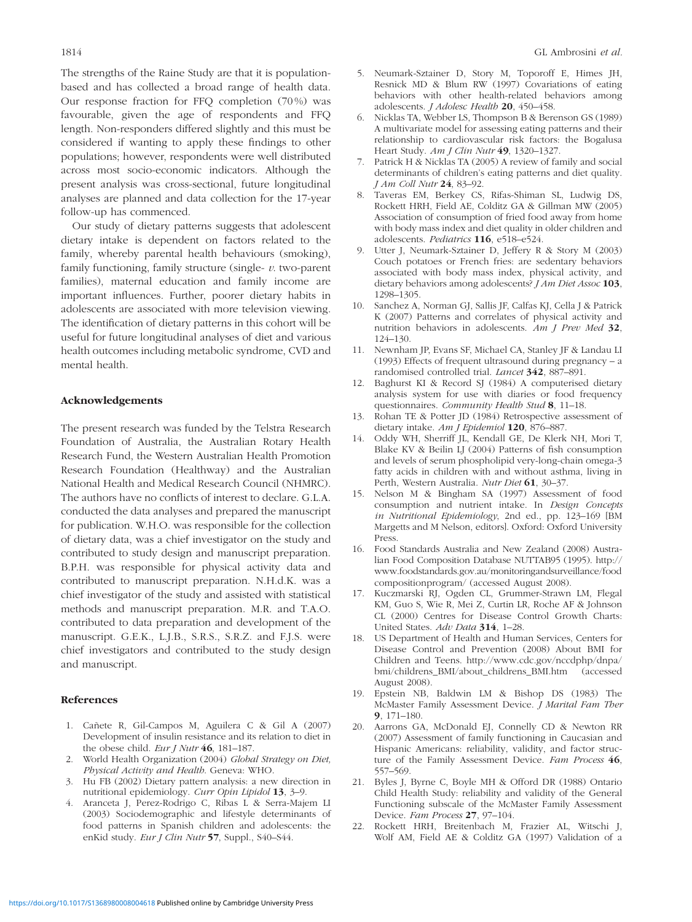The strengths of the Raine Study are that it is populationbased and has collected a broad range of health data. Our response fraction for FFQ completion (70 %) was favourable, given the age of respondents and FFQ length. Non-responders differed slightly and this must be considered if wanting to apply these findings to other populations; however, respondents were well distributed across most socio-economic indicators. Although the present analysis was cross-sectional, future longitudinal analyses are planned and data collection for the 17-year follow-up has commenced.

Our study of dietary patterns suggests that adolescent dietary intake is dependent on factors related to the family, whereby parental health behaviours (smoking), family functioning, family structure (single- $v$ . two-parent families), maternal education and family income are important influences. Further, poorer dietary habits in adolescents are associated with more television viewing. The identification of dietary patterns in this cohort will be useful for future longitudinal analyses of diet and various health outcomes including metabolic syndrome, CVD and mental health.

## Acknowledgements

The present research was funded by the Telstra Research Foundation of Australia, the Australian Rotary Health Research Fund, the Western Australian Health Promotion Research Foundation (Healthway) and the Australian National Health and Medical Research Council (NHMRC). The authors have no conflicts of interest to declare. G.L.A. conducted the data analyses and prepared the manuscript for publication. W.H.O. was responsible for the collection of dietary data, was a chief investigator on the study and contributed to study design and manuscript preparation. B.P.H. was responsible for physical activity data and contributed to manuscript preparation. N.H.d.K. was a chief investigator of the study and assisted with statistical methods and manuscript preparation. M.R. and T.A.O. contributed to data preparation and development of the manuscript. G.E.K., L.J.B., S.R.S., S.R.Z. and F.J.S. were chief investigators and contributed to the study design and manuscript.

#### References

- 1. Cañete R, Gil-Campos M, Aguilera C & Gil A (2007) Development of insulin resistance and its relation to diet in the obese child. Eur J Nutr  $46$ , 181-187.
- 2. World Health Organization (2004) Global Strategy on Diet, Physical Activity and Health. Geneva: WHO.
- 3. Hu FB (2002) Dietary pattern analysis: a new direction in nutritional epidemiology. Curr Opin Lipidol 13, 3–9.
- 4. Aranceta J, Perez-Rodrigo C, Ribas L & Serra-Majem LI (2003) Sociodemographic and lifestyle determinants of food patterns in Spanish children and adolescents: the enKid study. Eur J Clin Nutr 57, Suppl., S40-S44.
- 5. Neumark-Sztainer D, Story M, Toporoff E, Himes JH, Resnick MD & Blum RW (1997) Covariations of eating behaviors with other health-related behaviors among adolescents. J Adolesc Health 20, 450–458.
- 6. Nicklas TA, Webber LS, Thompson B & Berenson GS (1989) A multivariate model for assessing eating patterns and their relationship to cardiovascular risk factors: the Bogalusa Heart Study. Am J Clin Nutr 49, 1320-1327.
- Patrick H & Nicklas TA (2005) A review of family and social determinants of children's eating patterns and diet quality. J Am Coll Nutr 24, 83–92.
- 8. Taveras EM, Berkey CS, Rifas-Shiman SL, Ludwig DS, Rockett HRH, Field AE, Colditz GA & Gillman MW (2005) Association of consumption of fried food away from home with body mass index and diet quality in older children and adolescents. Pediatrics 116, e518–e524.
- 9. Utter J, Neumark-Sztainer D, Jeffery R & Story M (2003) Couch potatoes or French fries: are sedentary behaviors associated with body mass index, physical activity, and dietary behaviors among adolescents? *J Am Diet Assoc* 103, 1298–1305.
- 10. Sanchez A, Norman GJ, Sallis JF, Calfas KJ, Cella J & Patrick K (2007) Patterns and correlates of physical activity and nutrition behaviors in adolescents. Am J Prev Med 32, 124–130.
- 11. Newnham JP, Evans SF, Michael CA, Stanley JF & Landau LI (1993) Effects of frequent ultrasound during pregnancy – a randomised controlled trial. Lancet 342, 887–891.
- 12. Baghurst KI & Record SJ (1984) A computerised dietary analysis system for use with diaries or food frequency questionnaires. Community Health Stud 8, 11–18.
- 13. Rohan TE & Potter JD (1984) Retrospective assessment of dietary intake. Am J Epidemiol 120, 876-887.
- 14. Oddy WH, Sherriff JL, Kendall GE, De Klerk NH, Mori T, Blake KV & Beilin LJ (2004) Patterns of fish consumption and levels of serum phospholipid very-long-chain omega-3 fatty acids in children with and without asthma, living in Perth, Western Australia. Nutr Diet 61, 30–37.
- 15. Nelson M & Bingham SA (1997) Assessment of food consumption and nutrient intake. In Design Concepts in Nutritional Epidemiology, 2nd ed., pp. 123–169 [BM Margetts and M Nelson, editors]. Oxford: Oxford University Press.
- 16. Food Standards Australia and New Zealand (2008) Australian Food Composition Database NUTTAB95 (1995). http:// www.foodstandards.gov.au/monitoringandsurveillance/food compositionprogram/ (accessed August 2008).
- 17. Kuczmarski RJ, Ogden CL, Grummer-Strawn LM, Flegal KM, Guo S, Wie R, Mei Z, Curtin LR, Roche AF & Johnson CL (2000) Centres for Disease Control Growth Charts: United States. Adv Data 314, 1–28.
- 18. US Department of Health and Human Services, Centers for Disease Control and Prevention (2008) About BMI for Children and Teens. http://www.cdc.gov/nccdphp/dnpa/ bmi/childrens\_BMI/about\_childrens\_BMI.htm (accessed August 2008).
- 19. Epstein NB, Baldwin LM & Bishop DS (1983) The McMaster Family Assessment Device. J Marital Fam Ther 9, 171–180.
- 20. Aarrons GA, McDonald EJ, Connelly CD & Newton RR (2007) Assessment of family functioning in Caucasian and Hispanic Americans: reliability, validity, and factor structure of the Family Assessment Device. Fam Process 46, 557–569.
- 21. Byles J, Byrne C, Boyle MH & Offord DR (1988) Ontario Child Health Study: reliability and validity of the General Functioning subscale of the McMaster Family Assessment Device. Fam Process 27, 97–104.
- 22. Rockett HRH, Breitenbach M, Frazier AL, Witschi J, Wolf AM, Field AE & Colditz GA (1997) Validation of a